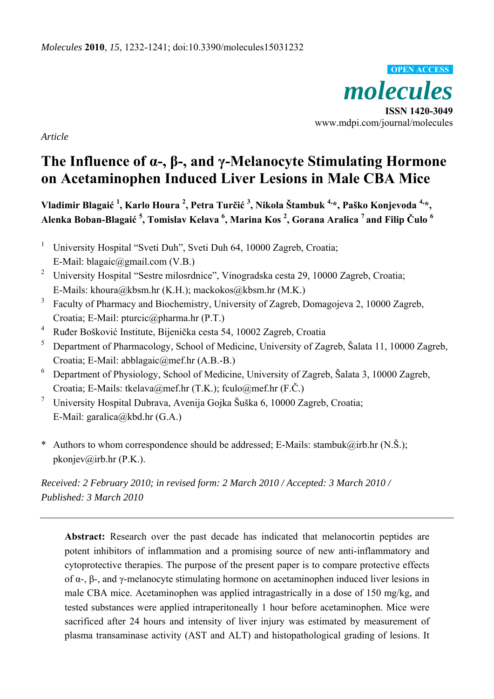*molecules*  **ISSN 1420-3049**  www.mdpi.com/journal/molecules **OPEN ACCESS**

*Article* 

# **The Influence of α-, β-, and γ-Melanocyte Stimulating Hormone on Acetaminophen Induced Liver Lesions in Male CBA Mice**

**Vladimir Blagaić <sup>1</sup> , Karlo Houra <sup>2</sup> , Petra Turčić <sup>3</sup> , Nikola Štambuk 4,\*, Paško Konjevoda 4,\*, Alenka Boban-Blagaić <sup>5</sup> , Tomislav Kelava <sup>6</sup> , Marina Kos 2 , Gorana Aralica 7 and Filip Čulo <sup>6</sup>**

- 1 University Hospital "Sveti Duh", Sveti Duh 64, 10000 Zagreb, Croatia; E-Mail: blagaic@gmail.com (V.B.)
- <sup>2</sup> University Hospital "Sestre milosrdnice", Vinogradska cesta 29, 10000 Zagreb, Croatia; E-Mails: khoura@kbsm.hr (K.H.); mackokos@kbsm.hr (M.K.)
- 3 Faculty of Pharmacy and Biochemistry, University of Zagreb, Domagojeva 2, 10000 Zagreb, Croatia; E-Mail: pturcic@pharma.hr (P.T.)
- 4 Ruđer Bošković Institute, Bijenička cesta 54, 10002 Zagreb, Croatia
- 5 Department of Pharmacology, School of Medicine, University of Zagreb, Šalata 11, 10000 Zagreb, Croatia; E-Mail: abblagaic@mef.hr (A.B.-B.)
- 6 Department of Physiology, School of Medicine, University of Zagreb, Šalata 3, 10000 Zagreb, Croatia; E-Mails: tkelava@mef.hr (T.K.); fculo@mef.hr (F.Č.)
- 7 University Hospital Dubrava, Avenija Gojka Šuška 6, 10000 Zagreb, Croatia; E-Mail: garalica@kbd.hr (G.A.)
- \* Authors to whom correspondence should be addressed; E-Mails: stambuk@irb.hr  $(N.\check{S})$ ; pkonjev@irb.hr (P.K.).

*Received: 2 February 2010; in revised form: 2 March 2010 / Accepted: 3 March 2010 / Published: 3 March 2010* 

**Abstract:** Research over the past decade has indicated that melanocortin peptides are potent inhibitors of inflammation and a promising source of new anti-inflammatory and cytoprotective therapies. The purpose of the present paper is to compare protective effects of α-, β-, and γ-melanocyte stimulating hormone on acetaminophen induced liver lesions in male CBA mice. Acetaminophen was applied intragastrically in a dose of 150 mg/kg, and tested substances were applied intraperitoneally 1 hour before acetaminophen. Mice were sacrificed after 24 hours and intensity of liver injury was estimated by measurement of plasma transaminase activity (AST and ALT) and histopathological grading of lesions. It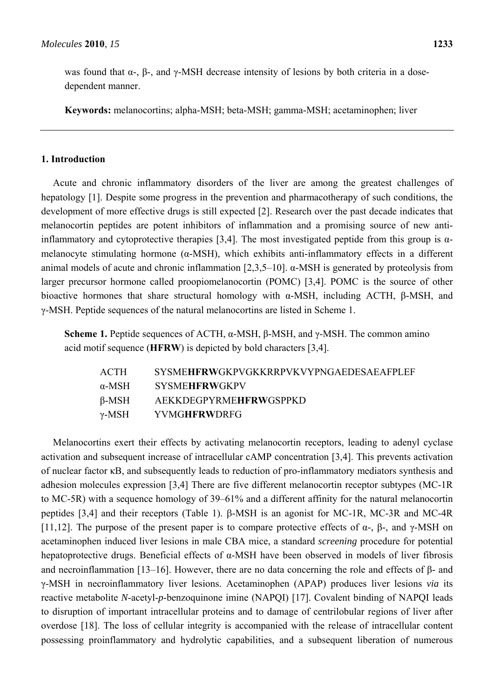was found that  $\alpha$ -,  $\beta$ -, and  $\gamma$ -MSH decrease intensity of lesions by both criteria in a dosedependent manner.

**Keywords:** melanocortins; alpha-MSH; beta-MSH; gamma-MSH; acetaminophen; liver

## **1. Introduction**

Acute and chronic inflammatory disorders of the liver are among the greatest challenges of hepatology [1]. Despite some progress in the prevention and pharmacotherapy of such conditions, the development of more effective drugs is still expected [2]. Research over the past decade indicates that melanocortin peptides are potent inhibitors of inflammation and a promising source of new antiinflammatory and cytoprotective therapies [3,4]. The most investigated peptide from this group is  $\alpha$ melanocyte stimulating hormone (α-MSH), which exhibits anti-inflammatory effects in a different animal models of acute and chronic inflammation [2,3,5–10]. α-MSH is generated by proteolysis from larger precursor hormone called proopiomelanocortin (POMC) [3,4]. POMC is the source of other bioactive hormones that share structural homology with  $\alpha$ -MSH, including ACTH, β-MSH, and γ-MSH. Peptide sequences of the natural melanocortins are listed in Scheme 1.

**Scheme 1.** Peptide sequences of ACTH, α-MSH, β-MSH, and γ-MSH. The common amino acid motif sequence (**HFRW**) is depicted by bold characters [3,4].

| <b>ACTH</b>   | <b>SYSMEHERWGKPVGKKRRPVKVYPNGAEDESAEAFPLEF</b> |
|---------------|------------------------------------------------|
| $\alpha$ -MSH | <b>SYSMEHFRWGKPV</b>                           |
| β-MSH         | <b>AEKKDEGPYRMEHFRWGSPPKD</b>                  |
| γ-MSH         | YVMGHFRWDRFG                                   |

Melanocortins exert their effects by activating melanocortin receptors, leading to adenyl cyclase activation and subsequent increase of intracellular cAMP concentration [3,4]. This prevents activation of nuclear factor κB, and subsequently leads to reduction of pro-inflammatory mediators synthesis and adhesion molecules expression [3,4] There are five different melanocortin receptor subtypes (MC-1R to MC-5R) with a sequence homology of 39–61% and a different affinity for the natural melanocortin peptides [3,4] and their receptors (Table 1). β-MSH is an agonist for MC-1R, MC-3R and MC-4R [11,12]. The purpose of the present paper is to compare protective effects of  $\alpha$ -,  $\beta$ -, and  $\gamma$ -MSH on acetaminophen induced liver lesions in male CBA mice, a standard *screening* procedure for potential hepatoprotective drugs. Beneficial effects of α-MSH have been observed in models of liver fibrosis and necroinflammation [13–16]. However, there are no data concerning the role and effects of β- and γ-MSH in necroinflammatory liver lesions. Acetaminophen (APAP) produces liver lesions *via* its reactive metabolite *N*-acetyl-*p*-benzoquinone imine (NAPQI) [17]. Covalent binding of NAPQI leads to disruption of important intracellular proteins and to damage of centrilobular regions of liver after overdose [18]. The loss of cellular integrity is accompanied with the release of intracellular content possessing proinflammatory and hydrolytic capabilities, and a subsequent liberation of numerous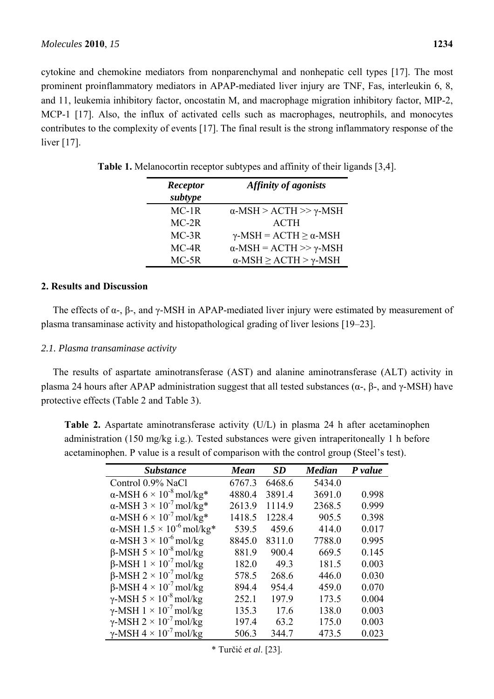cytokine and chemokine mediators from nonparenchymal and nonhepatic cell types [17]. The most prominent proinflammatory mediators in APAP-mediated liver injury are TNF, Fas, interleukin 6, 8, and 11, leukemia inhibitory factor, oncostatin M, and macrophage migration inhibitory factor, MIP-2, MCP-1 [17]. Also, the influx of activated cells such as macrophages, neutrophils, and monocytes contributes to the complexity of events [17]. The final result is the strong inflammatory response of the liver [17].

| Receptor | <b>Affinity of agonists</b>                 |
|----------|---------------------------------------------|
| subtype  |                                             |
| $MC-1R$  | $\alpha$ -MSH > ACTH >> $\gamma$ -MSH       |
| $MC-2R$  | <b>ACTH</b>                                 |
| $MC-3R$  | $\gamma$ -MSH = ACTH $\geq \alpha$ -MSH     |
| $MC-4R$  | $\alpha$ -MSH = ACTH >> $\gamma$ -MSH       |
| $MC-5R$  | $\alpha$ -MSH $\geq$ ACTH $>$ $\gamma$ -MSH |

**Table 1.** Melanocortin receptor subtypes and affinity of their ligands [3,4].

## **2. Results and Discussion**

The effects of  $\alpha$ -,  $\beta$ -, and  $\gamma$ -MSH in APAP-mediated liver injury were estimated by measurement of plasma transaminase activity and histopathological grading of liver lesions [19–23].

### *2.1. Plasma transaminase activity*

The results of aspartate aminotransferase (AST) and alanine aminotransferase (ALT) activity in plasma 24 hours after APAP administration suggest that all tested substances ( $\alpha$ -,  $\beta$ -, and  $\gamma$ -MSH) have protective effects (Table 2 and Table 3).

**Table 2.** Aspartate aminotransferase activity (U/L) in plasma 24 h after acetaminophen administration (150 mg/kg i.g.). Tested substances were given intraperitoneally 1 h before acetaminophen. P value is a result of comparison with the control group (Steel's test).

| <b>Substance</b>                                 | Mean   | <i>SD</i> | <b>Median</b> | P value |
|--------------------------------------------------|--------|-----------|---------------|---------|
| Control 0.9% NaCl                                | 6767.3 | 6468.6    | 5434.0        |         |
| $\alpha$ -MSH 6 × 10 <sup>-8</sup> mol/kg*       | 4880.4 | 3891.4    | 3691.0        | 0.998   |
| $\alpha$ -MSH 3 × 10 <sup>-7</sup> mol/kg*       | 2613.9 | 1114.9    | 2368.5        | 0.999   |
| $\alpha$ -MSH 6 × 10 <sup>-7</sup> mol/kg*       | 1418.5 | 1228.4    | 905.5         | 0.398   |
| $\alpha$ -MSH 1.5 × 10 <sup>-6</sup> mol/kg*     | 539.5  | 459.6     | 414.0         | 0.017   |
| $\alpha$ -MSH 3 × 10 <sup>-6</sup> mol/kg        | 8845.0 | 8311.0    | 7788.0        | 0.995   |
| $\beta$ -MSH 5 × 10 <sup>-8</sup> mol/kg         | 881.9  | 900.4     | 669.5         | 0.145   |
| $\beta$ -MSH 1 × 10 <sup>-7</sup> mol/kg         | 182.0  | 49.3      | 181.5         | 0.003   |
| $\beta$ -MSH 2 × 10 <sup>-7</sup> mol/kg         | 578.5  | 268.6     | 446.0         | 0.030   |
| $\beta$ -MSH 4 × 10 <sup>-7</sup> mol/kg         | 894.4  | 954.4     | 459.0         | 0.070   |
| $\gamma$ -MSH 5 $\times$ 10 <sup>-8</sup> mol/kg | 252.1  | 197.9     | 173.5         | 0.004   |
| $\gamma$ -MSH 1 × 10 <sup>-7</sup> mol/kg        | 135.3  | 17.6      | 138.0         | 0.003   |
| $\gamma$ -MSH 2 × 10 <sup>-7</sup> mol/kg        | 197.4  | 63.2      | 175.0         | 0.003   |
| $\gamma$ -MSH 4 × 10 <sup>-7</sup> mol/kg        | 506.3  | 344.7     | 473.5         | 0.023   |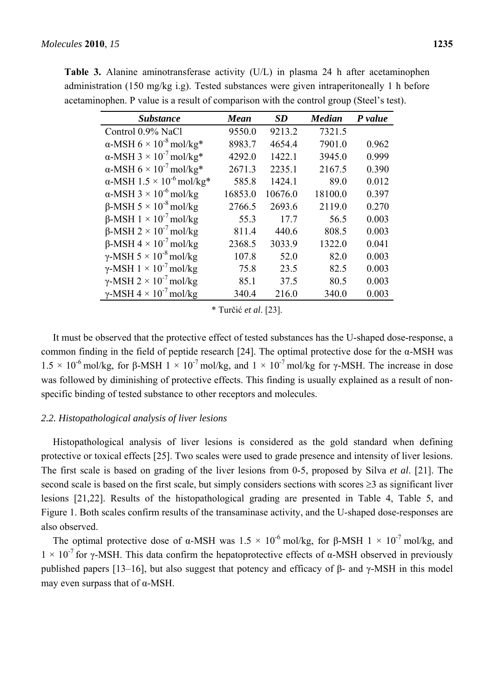| <b>Substance</b>                                 | Mean    | SD      | <b>Median</b> | P value |
|--------------------------------------------------|---------|---------|---------------|---------|
| Control 0.9% NaCl                                | 9550.0  | 9213.2  | 7321.5        |         |
| $\alpha$ -MSH 6 × 10 <sup>-8</sup> mol/kg*       | 8983.7  | 4654.4  | 7901.0        | 0.962   |
| $\alpha$ -MSH 3 × 10 <sup>-7</sup> mol/kg*       | 4292.0  | 1422.1  | 3945.0        | 0.999   |
| $\alpha$ -MSH 6 × 10 <sup>-7</sup> mol/kg*       | 2671.3  | 2235.1  | 2167.5        | 0.390   |
| $\alpha$ -MSH 1.5 × 10 <sup>-6</sup> mol/kg*     | 585.8   | 1424.1  | 89.0          | 0.012   |
| $\alpha$ -MSH 3 × 10 <sup>-6</sup> mol/kg        | 16853.0 | 10676.0 | 18100.0       | 0.397   |
| $\beta$ -MSH 5 $\times$ 10 <sup>-8</sup> mol/kg  | 2766.5  | 2693.6  | 2119.0        | 0.270   |
| $\beta$ -MSH 1 × 10 <sup>-7</sup> mol/kg         | 55.3    | 17.7    | 56.5          | 0.003   |
| $\beta$ -MSH 2 × 10 <sup>-7</sup> mol/kg         | 811.4   | 440.6   | 808.5         | 0.003   |
| $\beta$ -MSH 4 × 10 <sup>-7</sup> mol/kg         | 2368.5  | 3033.9  | 1322.0        | 0.041   |
| $\gamma$ -MSH 5 $\times$ 10 <sup>-8</sup> mol/kg | 107.8   | 52.0    | 82.0          | 0.003   |
| $\gamma$ -MSH 1 × 10 <sup>-7</sup> mol/kg        | 75.8    | 23.5    | 82.5          | 0.003   |
| $\gamma$ -MSH 2 × 10 <sup>-7</sup> mol/kg        | 85.1    | 37.5    | 80.5          | 0.003   |
| $\gamma$ -MSH 4 × 10 <sup>-7</sup> mol/kg        | 340.4   | 216.0   | 340.0         | 0.003   |
|                                                  |         |         |               |         |

**Table 3.** Alanine aminotransferase activity (U/L) in plasma 24 h after acetaminophen administration (150 mg/kg i.g). Tested substances were given intraperitoneally 1 h before acetaminophen. P value is a result of comparison with the control group (Steel's test).

\* Turčić *et al*. [23].

It must be observed that the protective effect of tested substances has the U-shaped dose-response, a common finding in the field of peptide research [24]. The optimal protective dose for the α-MSH was  $1.5 \times 10^{-6}$  mol/kg, for β-MSH  $1 \times 10^{-7}$  mol/kg, and  $1 \times 10^{-7}$  mol/kg for γ-MSH. The increase in dose was followed by diminishing of protective effects. This finding is usually explained as a result of nonspecific binding of tested substance to other receptors and molecules.

## *2.2. Histopathological analysis of liver lesions*

Histopathological analysis of liver lesions is considered as the gold standard when defining protective or toxical effects [25]. Two scales were used to grade presence and intensity of liver lesions. The first scale is based on grading of the liver lesions from 0-5, proposed by Silva *et al*. [21]. The second scale is based on the first scale, but simply considers sections with scores ≥3 as significant liver lesions [21,22]. Results of the histopathological grading are presented in Table 4, Table 5, and Figure 1. Both scales confirm results of the transaminase activity, and the U-shaped dose-responses are also observed.

The optimal protective dose of α-MSH was  $1.5 \times 10^{-6}$  mol/kg, for β-MSH  $1 \times 10^{-7}$  mol/kg, and  $1 \times 10^{-7}$  for γ-MSH. This data confirm the hepatoprotective effects of α-MSH observed in previously published papers [13–16], but also suggest that potency and efficacy of β- and γ-MSH in this model may even surpass that of  $α$ -MSH.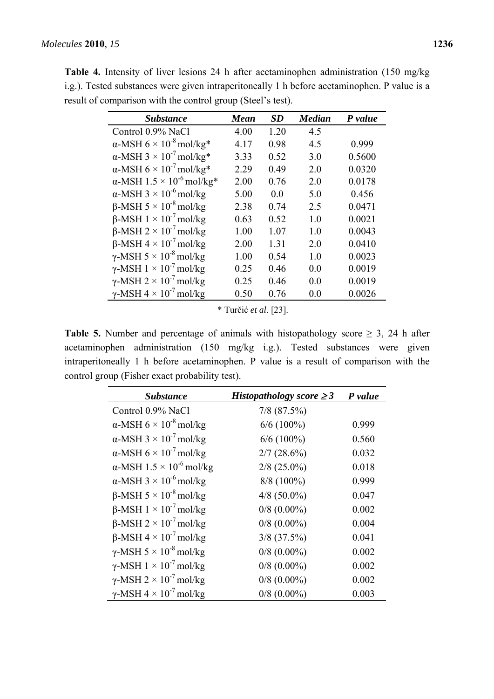**Table 4.** Intensity of liver lesions 24 h after acetaminophen administration (150 mg/kg i.g.). Tested substances were given intraperitoneally 1 h before acetaminophen. P value is a result of comparison with the control group (Steel's test).

| <b>Substance</b>                                 | Mean | <b>SD</b> | <b>Median</b> | P value |
|--------------------------------------------------|------|-----------|---------------|---------|
| Control 0.9% NaCl                                | 4.00 | 1.20      | 4.5           |         |
| $\alpha$ -MSH 6 × 10 <sup>-8</sup> mol/kg*       | 4.17 | 0.98      | 4.5           | 0.999   |
| $\alpha$ -MSH 3 × 10 <sup>-7</sup> mol/kg*       | 3.33 | 0.52      | 3.0           | 0.5600  |
| $\alpha$ -MSH 6 × 10 <sup>-7</sup> mol/kg*       | 2.29 | 0.49      | 2.0           | 0.0320  |
| $\alpha$ -MSH 1.5 × 10 <sup>-6</sup> mol/kg*     | 2.00 | 0.76      | 2.0           | 0.0178  |
| $\alpha$ -MSH 3 × 10 <sup>-6</sup> mol/kg        | 5.00 | 00        | 5.0           | 0.456   |
| $\beta$ -MSH 5 × 10 <sup>-8</sup> mol/kg         | 2.38 | 0.74      | 2.5           | 0.0471  |
| $\beta$ -MSH 1 × 10 <sup>-7</sup> mol/kg         | 0.63 | 0.52      | 10            | 0.0021  |
| $\beta$ -MSH 2 × 10 <sup>-7</sup> mol/kg         | 1.00 | 1.07      | 1.0           | 0.0043  |
| $\beta$ -MSH 4 × 10 <sup>-7</sup> mol/kg         | 2.00 | 1.31      | 2 0           | 0.0410  |
| $\gamma$ -MSH 5 $\times$ 10 <sup>-8</sup> mol/kg | 1.00 | 0.54      | 1.0           | 0.0023  |
| $\gamma$ -MSH 1 × 10 <sup>-7</sup> mol/kg        | 0.25 | 0.46      | 0.0           | 0.0019  |
| $\gamma$ -MSH 2 × 10 <sup>-7</sup> mol/kg        | 0.25 | 0.46      | 0.0           | 0.0019  |
| $\gamma$ -MSH 4 × 10 <sup>-7</sup> mol/kg        | 0.50 | 0.76      | 0.0           | 0.0026  |

\* Turčić *et al*. [23].

**Table 5.** Number and percentage of animals with histopathology score  $\geq$  3, 24 h after acetaminophen administration (150 mg/kg i.g.). Tested substances were given intraperitoneally 1 h before acetaminophen. P value is a result of comparison with the control group (Fisher exact probability test).

| <b>Substance</b>                                 | Histopathology score $\geq$ 3 | P value |
|--------------------------------------------------|-------------------------------|---------|
| Control 0.9% NaCl                                | $7/8$ $(87.5\%)$              |         |
| $\alpha$ -MSH 6 × 10 <sup>-8</sup> mol/kg        | $6/6$ (100%)                  | 0.999   |
| $\alpha$ -MSH 3 × 10 <sup>-7</sup> mol/kg        | $6/6$ (100%)                  | 0.560   |
| $\alpha$ -MSH 6 × 10 <sup>-7</sup> mol/kg        | $2/7$ (28.6%)                 | 0.032   |
| $\alpha$ -MSH 1.5 × 10 <sup>-6</sup> mol/kg      | $2/8$ (25.0%)                 | 0.018   |
| $\alpha$ -MSH 3 × 10 <sup>-6</sup> mol/kg        | $8/8$ (100%)                  | 0.999   |
| $\beta$ -MSH 5 × 10 <sup>-8</sup> mol/kg         | $4/8$ (50.0%)                 | 0.047   |
| $\beta$ -MSH 1 × 10 <sup>-7</sup> mol/kg         | $0/8$ (0.00%)                 | 0.002   |
| $\beta$ -MSH 2 × 10 <sup>-7</sup> mol/kg         | $0/8$ (0.00%)                 | 0.004   |
| $\beta$ -MSH 4 × 10 <sup>-7</sup> mol/kg         | $3/8$ (37.5%)                 | 0.041   |
| $\gamma$ -MSH 5 $\times$ 10 <sup>-8</sup> mol/kg | $0/8$ (0.00%)                 | 0.002   |
| $\gamma$ -MSH 1 × 10 <sup>-7</sup> mol/kg        | $0/8$ (0.00%)                 | 0.002   |
| $\gamma$ -MSH 2 $\times$ 10 <sup>-7</sup> mol/kg | $0/8$ (0.00%)                 | 0.002   |
| $\gamma$ -MSH 4 $\times$ 10 <sup>-7</sup> mol/kg | $0/8$ (0.00%)                 | 0.003   |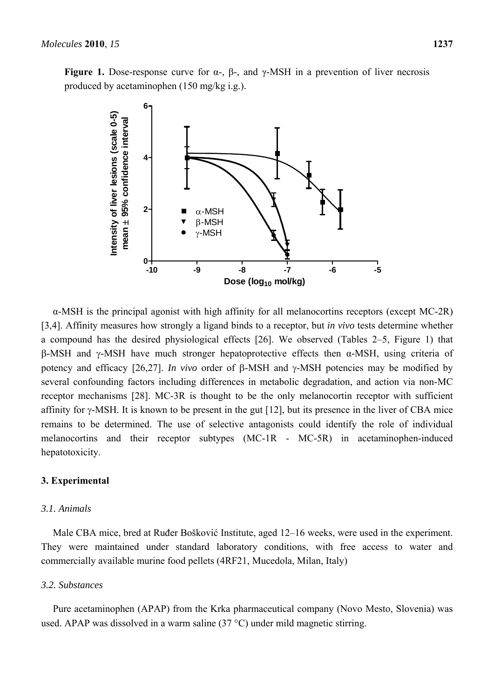

α-MSH is the principal agonist with high affinity for all melanocortins receptors (except MC-2R) [3,4]. Affinity measures how strongly a ligand binds to a receptor, but *in vivo* tests determine whether a compound has the desired physiological effects [26]. We observed (Tables 2–5, Figure 1) that β-MSH and γ-MSH have much stronger hepatoprotective effects then α-MSH, using criteria of potency and efficacy [26,27]. *In vivo* order of β-MSH and γ-MSH potencies may be modified by several confounding factors including differences in metabolic degradation, and action via non-MC receptor mechanisms [28]. MC-3R is thought to be the only melanocortin receptor with sufficient affinity for γ-MSH. It is known to be present in the gut [12], but its presence in the liver of CBA mice remains to be determined. The use of selective antagonists could identify the role of individual melanocortins and their receptor subtypes (MC-1R - MC-5R) in acetaminophen-induced hepatotoxicity.

# **3. Experimental**

# *3.1. Animals*

Male CBA mice, bred at Ruđer Bošković Institute, aged 12–16 weeks, were used in the experiment. They were maintained under standard laboratory conditions, with free access to water and commercially available murine food pellets (4RF21, Mucedola, Milan, Italy)

# *3.2. Substances*

Pure acetaminophen (APAP) from the Krka pharmaceutical company (Novo Mesto, Slovenia) was used. APAP was dissolved in a warm saline (37 °C) under mild magnetic stirring.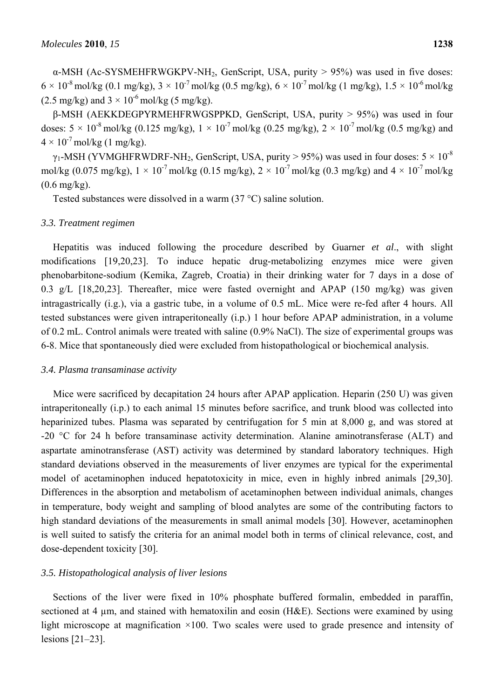$\alpha$ -MSH (Ac-SYSMEHFRWGKPV-NH<sub>2</sub>, GenScript, USA, purity > 95%) was used in five doses:  $6 \times 10^{-8}$  mol/kg (0.1 mg/kg),  $3 \times 10^{-7}$  mol/kg (0.5 mg/kg),  $6 \times 10^{-7}$  mol/kg (1 mg/kg),  $1.5 \times 10^{-6}$  mol/kg  $(2.5 \text{ mg/kg})$  and  $3 \times 10^{-6} \text{ mol/kg}$  (5 mg/kg).

β-MSH (AEKKDEGPYRMEHFRWGSPPKD, GenScript, USA, purity > 95%) was used in four doses:  $5 \times 10^{-8}$  mol/kg (0.125 mg/kg),  $1 \times 10^{-7}$  mol/kg (0.25 mg/kg),  $2 \times 10^{-7}$  mol/kg (0.5 mg/kg) and  $4 \times 10^{-7}$  mol/kg (1 mg/kg).

 $\gamma_1$ -MSH (YVMGHFRWDRF-NH<sub>2</sub>, GenScript, USA, purity > 95%) was used in four doses:  $5 \times 10^{-8}$ mol/kg (0.075 mg/kg),  $1 \times 10^{-7}$  mol/kg (0.15 mg/kg),  $2 \times 10^{-7}$  mol/kg (0.3 mg/kg) and  $4 \times 10^{-7}$  mol/kg (0.6 mg/kg).

Tested substances were dissolved in a warm (37 °C) saline solution.

#### *3.3. Treatment regimen*

Hepatitis was induced following the procedure described by Guarner *et al*., with slight modifications [19,20,23]. To induce hepatic drug-metabolizing enzymes mice were given phenobarbitone-sodium (Kemika, Zagreb, Croatia) in their drinking water for 7 days in a dose of 0.3 g/L [18,20,23]. Thereafter, mice were fasted overnight and APAP (150 mg/kg) was given intragastrically (i.g.), via a gastric tube, in a volume of 0.5 mL. Mice were re-fed after 4 hours. All tested substances were given intraperitoneally (i.p.) 1 hour before APAP administration, in a volume of 0.2 mL. Control animals were treated with saline (0.9% NaCl). The size of experimental groups was 6-8. Mice that spontaneously died were excluded from histopathological or biochemical analysis.

#### *3.4. Plasma transaminase activity*

Mice were sacrificed by decapitation 24 hours after APAP application. Heparin (250 U) was given intraperitoneally (i.p.) to each animal 15 minutes before sacrifice, and trunk blood was collected into heparinized tubes. Plasma was separated by centrifugation for 5 min at 8,000 g, and was stored at -20 °C for 24 h before transaminase activity determination. Alanine aminotransferase (ALT) and aspartate aminotransferase (AST) activity was determined by standard laboratory techniques. High standard deviations observed in the measurements of liver enzymes are typical for the experimental model of acetaminophen induced hepatotoxicity in mice, even in highly inbred animals [29,30]. Differences in the absorption and metabolism of acetaminophen between individual animals, changes in temperature, body weight and sampling of blood analytes are some of the contributing factors to high standard deviations of the measurements in small animal models [30]. However, acetaminophen is well suited to satisfy the criteria for an animal model both in terms of clinical relevance, cost, and dose-dependent toxicity [30].

#### *3.5. Histopathological analysis of liver lesions*

Sections of the liver were fixed in 10% phosphate buffered formalin, embedded in paraffin, sectioned at 4 µm, and stained with hematoxilin and eosin (H&E). Sections were examined by using light microscope at magnification  $\times$ 100. Two scales were used to grade presence and intensity of lesions [21–23].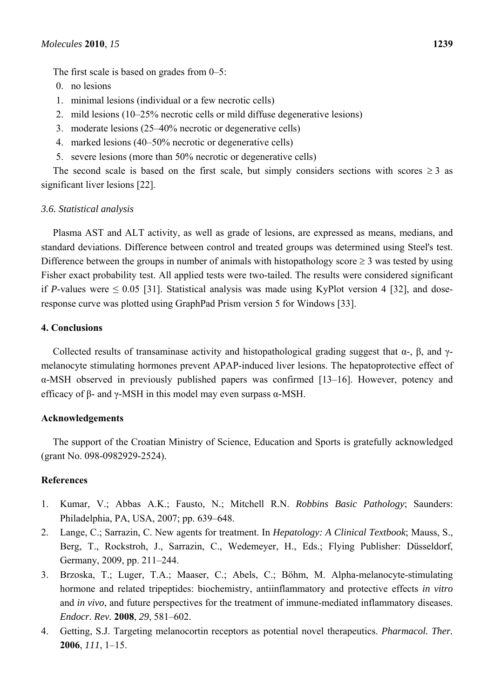The first scale is based on grades from 0–5:

- 0. no lesions
- 1. minimal lesions (individual or a few necrotic cells)
- 2. mild lesions (10–25% necrotic cells or mild diffuse degenerative lesions)
- 3. moderate lesions (25–40% necrotic or degenerative cells)
- 4. marked lesions (40–50% necrotic or degenerative cells)
- 5. severe lesions (more than 50% necrotic or degenerative cells)

The second scale is based on the first scale, but simply considers sections with scores  $\geq 3$  as significant liver lesions [22].

#### *3.6. Statistical analysis*

Plasma AST and ALT activity, as well as grade of lesions, are expressed as means, medians, and standard deviations. Difference between control and treated groups was determined using Steel's test. Difference between the groups in number of animals with histopathology score  $\geq 3$  was tested by using Fisher exact probability test. All applied tests were two-tailed. The results were considered significant if *P*-values were  $\leq 0.05$  [31]. Statistical analysis was made using KyPlot version 4 [32], and doseresponse curve was plotted using GraphPad Prism version 5 for Windows [33].

#### **4. Conclusions**

Collected results of transaminase activity and histopathological grading suggest that  $\alpha$ -,  $\beta$ , and  $\gamma$ melanocyte stimulating hormones prevent APAP-induced liver lesions. The hepatoprotective effect of α-MSH observed in previously published papers was confirmed [13–16]. However, potency and efficacy of β- and γ-MSH in this model may even surpass  $\alpha$ -MSH.

#### **Acknowledgements**

The support of the Croatian Ministry of Science, Education and Sports is gratefully acknowledged (grant No. 098-0982929-2524).

#### **References**

- 1. Kumar, V.; Abbas A.K.; Fausto, N.; Mitchell R.N. *Robbins Basic Pathology*; Saunders: Philadelphia, PA, USA, 2007; pp. 639–648.
- 2. Lange, C.; Sarrazin, C. New agents for treatment. In *Hepatology: A Clinical Textbook*; Mauss, S., Berg, T., Rockstroh, J., Sarrazin, C., Wedemeyer, H., Eds.; Flying Publisher: Düsseldorf, Germany, 2009, pp. 211–244.
- 3. Brzoska, T.; Luger, T.A.; Maaser, C.; Abels, C.; Böhm, M. Alpha-melanocyte-stimulating hormone and related tripeptides: biochemistry, antiinflammatory and protective effects *in vitro* and *in vivo*, and future perspectives for the treatment of immune-mediated inflammatory diseases. *Endocr. Rev.* **2008**, *29*, 581–602.
- 4. Getting, S.J. Targeting melanocortin receptors as potential novel therapeutics. *Pharmacol. Ther.* **2006**, *111*, 1–15.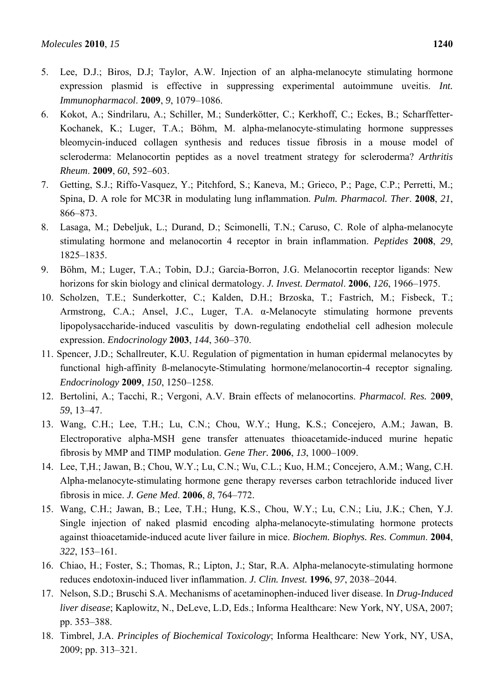- 5. Lee, D.J.; Biros, D.J; Taylor, A.W. Injection of an alpha-melanocyte stimulating hormone expression plasmid is effective in suppressing experimental autoimmune uveitis. *Int. Immunopharmacol*. **2009**, *9*, 1079–1086.
- 6. Kokot, A.; Sindrilaru, A.; Schiller, M.; Sunderkötter, C.; Kerkhoff, C.; Eckes, B.; Scharffetter-Kochanek, K.; Luger, T.A.; Böhm, M. alpha-melanocyte-stimulating hormone suppresses bleomycin-induced collagen synthesis and reduces tissue fibrosis in a mouse model of scleroderma: Melanocortin peptides as a novel treatment strategy for scleroderma? *Arthritis Rheum*. **2009**, *60*, 592–603.
- 7. Getting, S.J.; Riffo-Vasquez, Y.; Pitchford, S.; Kaneva, M.; Grieco, P.; Page, C.P.; Perretti, M.; Spina, D. A role for MC3R in modulating lung inflammation. *Pulm. Pharmacol. Ther*. **2008**, *21*, 866–873.
- 8. Lasaga, M.; Debeljuk, L.; Durand, D.; Scimonelli, T.N.; Caruso, C. Role of alpha-melanocyte stimulating hormone and melanocortin 4 receptor in brain inflammation. *Peptides* **2008**, *29*, 1825–1835.
- 9. Böhm, M.; Luger, T.A.; Tobin, D.J.; Garcia-Borron, J.G. Melanocortin receptor ligands: New horizons for skin biology and clinical dermatology. *J. Invest. Dermatol*. **2006**, *126*, 1966–1975.
- 10. Scholzen, T.E.; Sunderkotter, C.; Kalden, D.H.; Brzoska, T.; Fastrich, M.; Fisbeck, T.; Armstrong, C.A.; Ansel, J.C., Luger, T.A. α-Melanocyte stimulating hormone prevents lipopolysaccharide-induced vasculitis by down-regulating endothelial cell adhesion molecule expression. *Endocrinology* **2003**, *144*, 360–370.
- 11. Spencer, J.D.; Schallreuter, K.U. Regulation of pigmentation in human epidermal melanocytes by functional high-affinity ß-melanocyte-Stimulating hormone/melanocortin-4 receptor signaling*. Endocrinology* **2009**, *150*, 1250–1258.
- 12. Bertolini, A.; Tacchi, R.; Vergoni, A.V. Brain effects of melanocortins. *Pharmacol. Res.* 2**009**, *59*, 13–47.
- 13. Wang, C.H.; Lee, T.H.; Lu, C.N.; Chou, W.Y.; Hung, K.S.; Concejero, A.M.; Jawan, B. Electroporative alpha-MSH gene transfer attenuates thioacetamide-induced murine hepatic fibrosis by MMP and TIMP modulation. *Gene Ther.* **2006**, *13*, 1000–1009.
- 14. Lee, T,H.; Jawan, B.; Chou, W.Y.; Lu, C.N.; Wu, C.L.; Kuo, H.M.; Concejero, A.M.; Wang, C.H. Alpha-melanocyte-stimulating hormone gene therapy reverses carbon tetrachloride induced liver fibrosis in mice. *J. Gene Med*. **2006**, *8*, 764–772.
- 15. Wang, C.H.; Jawan, B.; Lee, T.H.; Hung, K.S., Chou, W.Y.; Lu, C.N.; Liu, J.K.; Chen, Y.J. Single injection of naked plasmid encoding alpha-melanocyte-stimulating hormone protects against thioacetamide-induced acute liver failure in mice. *Biochem. Biophys. Res. Commun*. **2004**, *322*, 153–161.
- 16. Chiao, H.; Foster, S.; Thomas, R.; Lipton, J.; Star, R.A. Alpha-melanocyte-stimulating hormone reduces endotoxin-induced liver inflammation. *J. Clin. Invest.* **1996**, *97*, 2038–2044.
- 17. Nelson, S.D.; Bruschi S.A. Mechanisms of acetaminophen-induced liver disease. In *Drug-Induced liver disease*; Kaplowitz, N., DeLeve, L.D, Eds.; Informa Healthcare: New York, NY, USA, 2007; pp. 353–388.
- 18. Timbrel, J.A. *Principles of Biochemical Toxicology*; Informa Healthcare: New York, NY, USA, 2009; pp. 313–321.